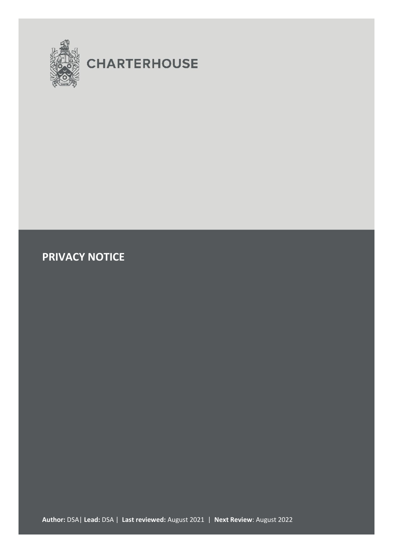

# **CHARTERHOUSE**

# **PRIVACY NOTICE**

**Author:** DSA| **Lead:** DSA | **Last reviewed:** August 2021 | **Next Review**: August 2022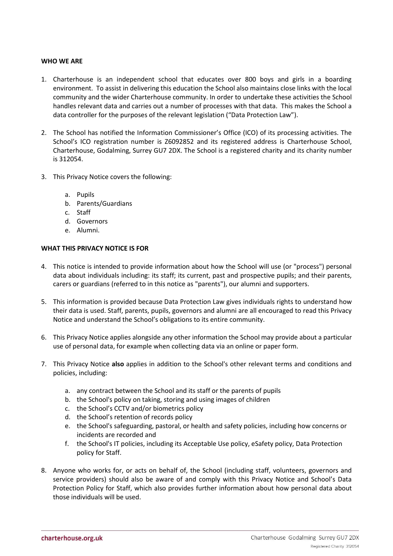#### **WHO WE ARE**

- 1. Charterhouse is an independent school that educates over 800 boys and girls in a boarding environment. To assist in delivering this education the School also maintains close links with the local community and the wider Charterhouse community. In order to undertake these activities the School handles relevant data and carries out a number of processes with that data. This makes the School a data controller for the purposes of the relevant legislation ("Data Protection Law").
- 2. The School has notified the Information Commissioner's Office (ICO) of its processing activities. The School's ICO registration number is Z6092852 and its registered address is Charterhouse School, Charterhouse, Godalming, Surrey GU7 2DX. The School is a registered charity and its charity number is 312054.
- 3. This Privacy Notice covers the following:
	- a. Pupils
	- b. Parents/Guardians
	- c. Staff
	- d. Governors
	- e. Alumni.

# **WHAT THIS PRIVACY NOTICE IS FOR**

- 4. This notice is intended to provide information about how the School will use (or "process") personal data about individuals including: its staff; its current, past and prospective pupils; and their parents, carers or guardians (referred to in this notice as "parents"), our alumni and supporters.
- 5. This information is provided because Data Protection Law gives individuals rights to understand how their data is used. Staff, parents, pupils, governors and alumni are all encouraged to read this Privacy Notice and understand the School's obligations to its entire community.
- 6. This Privacy Notice applies alongside any other information the School may provide about a particular use of personal data, for example when collecting data via an online or paper form.
- 7. This Privacy Notice **also** applies in addition to the School's other relevant terms and conditions and policies, including:
	- a. any contract between the School and its staff or the parents of pupils
	- b. the School's policy on taking, storing and using images of children
	- c. the School's CCTV and/or biometrics policy
	- d. the School's retention of records policy
	- e. the School's safeguarding, pastoral, or health and safety policies, including how concerns or incidents are recorded and
	- f. the School's IT policies, including its Acceptable Use policy, eSafety policy, Data Protection policy for Staff.
- 8. Anyone who works for, or acts on behalf of, the School (including staff, volunteers, governors and service providers) should also be aware of and comply with this Privacy Notice and School's Data Protection Policy for Staff, which also provides further information about how personal data about those individuals will be used.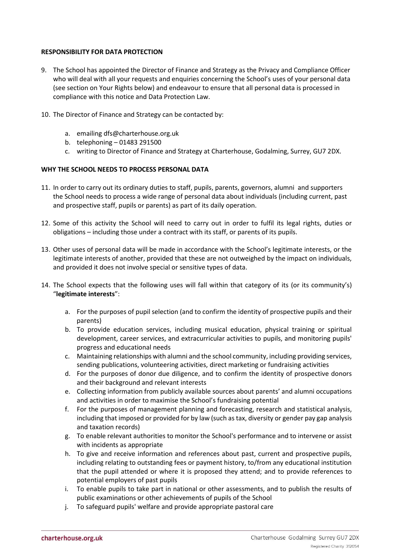#### **RESPONSIBILITY FOR DATA PROTECTION**

- 9. The School has appointed the Director of Finance and Strategy as the Privacy and Compliance Officer who will deal with all your requests and enquiries concerning the School's uses of your personal data (see section on Your Rights below) and endeavour to ensure that all personal data is processed in compliance with this notice and Data Protection Law.
- 10. The Director of Finance and Strategy can be contacted by:
	- a. emailing dfs@charterhouse.org.uk
	- b. telephoning 01483 291500
	- c. writing to Director of Finance and Strategy at Charterhouse, Godalming, Surrey, GU7 2DX.

#### **WHY THE SCHOOL NEEDS TO PROCESS PERSONAL DATA**

- 11. In order to carry out its ordinary duties to staff, pupils, parents, governors, alumni and supporters the School needs to process a wide range of personal data about individuals (including current, past and prospective staff, pupils or parents) as part of its daily operation.
- 12. Some of this activity the School will need to carry out in order to fulfil its legal rights, duties or obligations – including those under a contract with its staff, or parents of its pupils.
- 13. Other uses of personal data will be made in accordance with the School's legitimate interests, or the legitimate interests of another, provided that these are not outweighed by the impact on individuals, and provided it does not involve special or sensitive types of data.
- 14. The School expects that the following uses will fall within that category of its (or its community's) "**legitimate interests**":
	- a. For the purposes of pupil selection (and to confirm the identity of prospective pupils and their parents)
	- b. To provide education services, including musical education, physical training or spiritual development, career services, and extracurricular activities to pupils, and monitoring pupils' progress and educational needs
	- c. Maintaining relationships with alumni and the school community, including providing services, sending publications, volunteering activities, direct marketing or fundraising activities
	- d. For the purposes of donor due diligence, and to confirm the identity of prospective donors and their background and relevant interests
	- e. Collecting information from publicly available sources about parents' and alumni occupations and activities in order to maximise the School's fundraising potential
	- f. For the purposes of management planning and forecasting, research and statistical analysis, including that imposed or provided for by law (such as tax, diversity or gender pay gap analysis and taxation records)
	- g. To enable relevant authorities to monitor the School's performance and to intervene or assist with incidents as appropriate
	- h. To give and receive information and references about past, current and prospective pupils, including relating to outstanding fees or payment history, to/from any educational institution that the pupil attended or where it is proposed they attend; and to provide references to potential employers of past pupils
	- i. To enable pupils to take part in national or other assessments, and to publish the results of public examinations or other achievements of pupils of the School
	- j. To safeguard pupils' welfare and provide appropriate pastoral care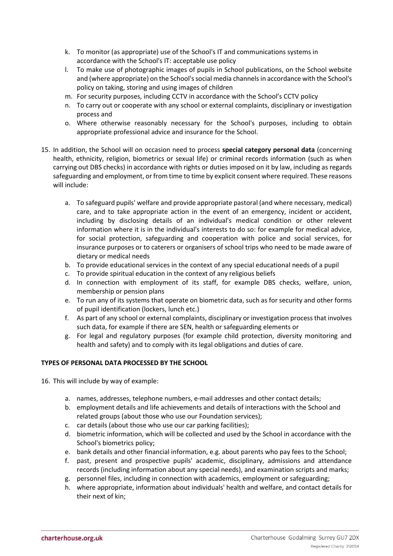- k. To monitor (as appropriate) use of the School's IT and communications systems in accordance with the School's IT: acceptable use policy
- l. To make use of photographic images of pupils in School publications, on the School website and (where appropriate) on the School's social media channels in accordance with the School's policy on taking, storing and using images of children
- m. For security purposes, including CCTV in accordance with the School's CCTV policy
- n. To carry out or cooperate with any school or external complaints, disciplinary or investigation process and
- o. Where otherwise reasonably necessary for the School's purposes, including to obtain appropriate professional advice and insurance for the School.
- 15. In addition, the School will on occasion need to process **special category personal data** (concerning health, ethnicity, religion, biometrics or sexual life) or criminal records information (such as when carrying out DBS checks) in accordance with rights or duties imposed on it by law, including as regards safeguarding and employment, or from time to time by explicit consent where required. These reasons will include:
	- a. To safeguard pupils' welfare and provide appropriate pastoral (and where necessary, medical) care, and to take appropriate action in the event of an emergency, incident or accident, including by disclosing details of an individual's medical condition or other relevent information where it is in the individual's interests to do so: for example for medical advice, for social protection, safeguarding and cooperation with police and social services, for insurance purposes or to caterers or organisers of school trips who need to be made aware of dietary or medical needs
	- b. To provide educational services in the context of any special educational needs of a pupil
	- c. To provide spiritual education in the context of any religious beliefs
	- d. In connection with employment of its staff, for example DBS checks, welfare, union, membership or pension plans
	- e. To run any of its systems that operate on biometric data, such as for security and other forms of pupil identification (lockers, lunch etc.)
	- f. As part of any school or external complaints, disciplinary or investigation process that involves such data, for example if there are SEN, health or safeguarding elements or
	- g. For legal and regulatory purposes (for example child protection, diversity monitoring and health and safety) and to comply with its legal obligations and duties of care.

# **TYPES OF PERSONAL DATA PROCESSED BY THE SCHOOL**

- 16. This will include by way of example:
	- a. names, addresses, telephone numbers, e-mail addresses and other contact details;
	- b. employment details and life achievements and details of interactions with the School and related groups (about those who use our Foundation services);
	- c. car details (about those who use our car parking facilities);
	- d. biometric information, which will be collected and used by the School in accordance with the School's biometrics policy;
	- e. bank details and other financial information, e.g. about parents who pay fees to the School;
	- f. past, present and prospective pupils' academic, disciplinary, admissions and attendance records (including information about any special needs), and examination scripts and marks;
	- g. personnel files, including in connection with academics, employment or safeguarding;
	- h. where appropriate, information about individuals' health and welfare, and contact details for their next of kin;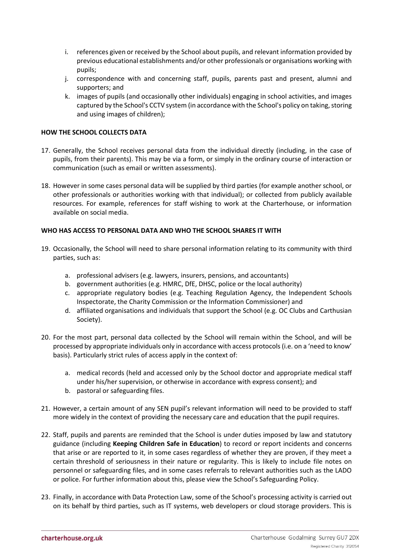- i. references given or received by the School about pupils, and relevant information provided by previous educational establishments and/or other professionals or organisations working with pupils;
- j. correspondence with and concerning staff, pupils, parents past and present, alumni and supporters; and
- k. images of pupils (and occasionally other individuals) engaging in school activities, and images captured by the School's CCTV system (in accordance with the School's policy on taking, storing and using images of children);

#### **HOW THE SCHOOL COLLECTS DATA**

- 17. Generally, the School receives personal data from the individual directly (including, in the case of pupils, from their parents). This may be via a form, or simply in the ordinary course of interaction or communication (such as email or written assessments).
- 18. However in some cases personal data will be supplied by third parties (for example another school, or other professionals or authorities working with that individual); or collected from publicly available resources. For example, references for staff wishing to work at the Charterhouse, or information available on social media.

#### **WHO HAS ACCESS TO PERSONAL DATA AND WHO THE SCHOOL SHARES IT WITH**

- 19. Occasionally, the School will need to share personal information relating to its community with third parties, such as:
	- a. professional advisers (e.g. lawyers, insurers, pensions, and accountants)
	- b. government authorities (e.g. HMRC, DfE, DHSC, police or the local authority)
	- c. appropriate regulatory bodies (e.g. Teaching Regulation Agency, the Independent Schools Inspectorate, the Charity Commission or the Information Commissioner) and
	- d. affiliated organisations and individuals that support the School (e.g. OC Clubs and Carthusian Society).
- 20. For the most part, personal data collected by the School will remain within the School, and will be processed by appropriate individuals only in accordance with access protocols (i.e. on a 'need to know' basis). Particularly strict rules of access apply in the context of:
	- a. medical records (held and accessed only by the School doctor and appropriate medical staff under his/her supervision, or otherwise in accordance with express consent); and
	- b. pastoral or safeguarding files.
- 21. However, a certain amount of any SEN pupil's relevant information will need to be provided to staff more widely in the context of providing the necessary care and education that the pupil requires.
- 22. Staff, pupils and parents are reminded that the School is under duties imposed by law and statutory guidance (including **Keeping Children Safe in Education**) to record or report incidents and concerns that arise or are reported to it, in some cases regardless of whether they are proven, if they meet a certain threshold of seriousness in their nature or regularity. This is likely to include file notes on personnel or safeguarding files, and in some cases referrals to relevant authorities such as the LADO or police. For further information about this, please view the School's Safeguarding Policy.
- 23. Finally, in accordance with Data Protection Law, some of the School's processing activity is carried out on its behalf by third parties, such as IT systems, web developers or cloud storage providers. This is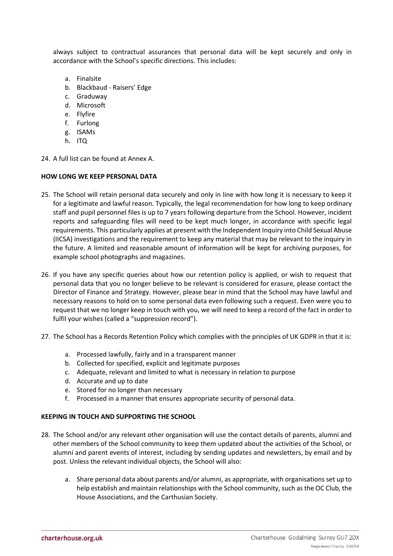always subject to contractual assurances that personal data will be kept securely and only in accordance with the School's specific directions. This includes:

- a. Finalsite
- b. Blackbaud Raisers' Edge
- c. Graduway
- d. Microsoft
- e. Flyfire
- f. Furlong
- g. ISAMs
- h. ITQ
- 24. A full list can be found at Annex A.

#### **HOW LONG WE KEEP PERSONAL DATA**

- 25. The School will retain personal data securely and only in line with how long it is necessary to keep it for a legitimate and lawful reason. Typically, the legal recommendation for how long to keep ordinary staff and pupil personnel files is up to 7 years following departure from the School. However, incident reports and safeguarding files will need to be kept much longer, in accordance with specific legal requirements. This particularly applies at present with the Independent Inquiry into Child Sexual Abuse (IICSA) investigations and the requirement to keep any material that may be relevant to the inquiry in the future. A limited and reasonable amount of information will be kept for archiving purposes, for example school photographs and magazines.
- 26. If you have any specific queries about how our retention policy is applied, or wish to request that personal data that you no longer believe to be relevant is considered for erasure, please contact the Director of Finance and Strategy. However, please bear in mind that the School may have lawful and necessary reasons to hold on to some personal data even following such a request. Even were you to request that we no longer keep in touch with you, we will need to keep a record of the fact in order to fulfil your wishes (called a "suppression record").
- 27. The School has a Records Retention Policy which complies with the principles of UK GDPR in that it is:
	- a. Processed lawfully, fairly and in a transparent manner
	- b. Collected for specified, explicit and legitimate purposes
	- c. Adequate, relevant and limited to what is necessary in relation to purpose
	- d. Accurate and up to date
	- e. Stored for no longer than necessary
	- f. Processed in a manner that ensures appropriate security of personal data.

#### **KEEPING IN TOUCH AND SUPPORTING THE SCHOOL**

- 28. The School and/or any relevant other organisation will use the contact details of parents, alumni and other members of the School community to keep them updated about the activities of the School, or alumni and parent events of interest, including by sending updates and newsletters, by email and by post. Unless the relevant individual objects, the School will also:
	- a. Share personal data about parents and/or alumni, as appropriate, with organisations set up to help establish and maintain relationships with the School community, such as the OC Club, the House Associations, and the Carthusian Society.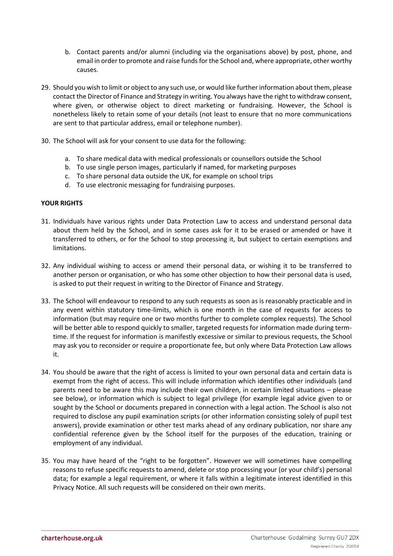- b. Contact parents and/or alumni (including via the organisations above) by post, phone, and email in order to promote and raise funds for the School and, where appropriate, other worthy causes.
- 29. Should you wish to limit or object to any such use, or would like further information about them, please contact the Director of Finance and Strategy in writing. You always have the right to withdraw consent, where given, or otherwise object to direct marketing or fundraising. However, the School is nonetheless likely to retain some of your details (not least to ensure that no more communications are sent to that particular address, email or telephone number).
- 30. The School will ask for your consent to use data for the following:
	- a. To share medical data with medical professionals or counsellors outside the School
	- b. To use single person images, particularly if named, for marketing purposes
	- c. To share personal data outside the UK, for example on school trips
	- d. To use electronic messaging for fundraising purposes.

#### **YOUR RIGHTS**

- 31. Individuals have various rights under Data Protection Law to access and understand personal data about them held by the School, and in some cases ask for it to be erased or amended or have it transferred to others, or for the School to stop processing it, but subject to certain exemptions and limitations.
- 32. Any individual wishing to access or amend their personal data, or wishing it to be transferred to another person or organisation, or who has some other objection to how their personal data is used, is asked to put their request in writing to the Director of Finance and Strategy.
- 33. The School will endeavour to respond to any such requests as soon as is reasonably practicable and in any event within statutory time-limits, which is one month in the case of requests for access to information (but may require one or two months further to complete complex requests). The School will be better able to respond quickly to smaller, targeted requests for information made during termtime. If the request for information is manifestly excessive or similar to previous requests, the School may ask you to reconsider or require a proportionate fee, but only where Data Protection Law allows it.
- 34. You should be aware that the right of access is limited to your own personal data and certain data is exempt from the right of access. This will include information which identifies other individuals (and parents need to be aware this may include their own children, in certain limited situations – please see below), or information which is subject to legal privilege (for example legal advice given to or sought by the School or documents prepared in connection with a legal action. The School is also not required to disclose any pupil examination scripts (or other information consisting solely of pupil test answers), provide examination or other test marks ahead of any ordinary publication, nor share any confidential reference given by the School itself for the purposes of the education, training or employment of any individual.
- 35. You may have heard of the "right to be forgotten". However we will sometimes have compelling reasons to refuse specific requests to amend, delete or stop processing your (or your child's) personal data; for example a legal requirement, or where it falls within a legitimate interest identified in this Privacy Notice. All such requests will be considered on their own merits.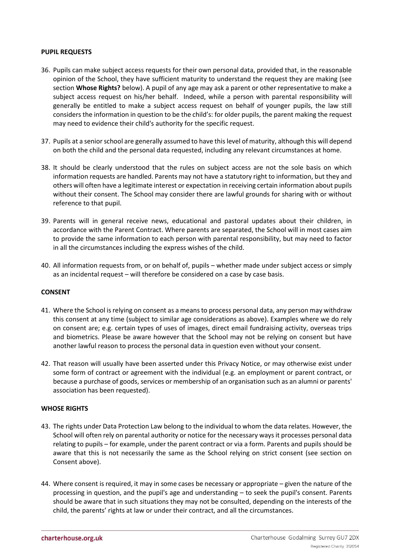#### **PUPIL REQUESTS**

- 36. Pupils can make subject access requests for their own personal data, provided that, in the reasonable opinion of the School, they have sufficient maturity to understand the request they are making (see section **Whose Rights?** below). A pupil of any age may ask a parent or other representative to make a subject access request on his/her behalf. Indeed, while a person with parental responsibility will generally be entitled to make a subject access request on behalf of younger pupils, the law still considers the information in question to be the child's: for older pupils, the parent making the request may need to evidence their child's authority for the specific request.
- 37. Pupils at a senior school are generally assumed to have this level of maturity, although this will depend on both the child and the personal data requested, including any relevant circumstances at home.
- 38. It should be clearly understood that the rules on subject access are not the sole basis on which information requests are handled. Parents may not have a statutory right to information, but they and others will often have a legitimate interest or expectation in receiving certain information about pupils without their consent. The School may consider there are lawful grounds for sharing with or without reference to that pupil.
- 39. Parents will in general receive news, educational and pastoral updates about their children, in accordance with the Parent Contract. Where parents are separated, the School will in most cases aim to provide the same information to each person with parental responsibility, but may need to factor in all the circumstances including the express wishes of the child.
- 40. All information requests from, or on behalf of, pupils whether made under subject access or simply as an incidental request – will therefore be considered on a case by case basis.

#### **CONSENT**

- 41. Where the School is relying on consent as a means to process personal data, any person may withdraw this consent at any time (subject to similar age considerations as above). Examples where we do rely on consent are; e.g. certain types of uses of images, direct email fundraising activity, overseas trips and biometrics. Please be aware however that the School may not be relying on consent but have another lawful reason to process the personal data in question even without your consent.
- 42. That reason will usually have been asserted under this Privacy Notice, or may otherwise exist under some form of contract or agreement with the individual (e.g. an employment or parent contract, or because a purchase of goods, services or membership of an organisation such as an alumni or parents' association has been requested).

#### **WHOSE RIGHTS**

- 43. The rights under Data Protection Law belong to the individual to whom the data relates. However, the School will often rely on parental authority or notice for the necessary ways it processes personal data relating to pupils – for example, under the parent contract or via a form. Parents and pupils should be aware that this is not necessarily the same as the School relying on strict consent (see section on Consent above).
- 44. Where consent is required, it may in some cases be necessary or appropriate given the nature of the processing in question, and the pupil's age and understanding – to seek the pupil's consent. Parents should be aware that in such situations they may not be consulted, depending on the interests of the child, the parents' rights at law or under their contract, and all the circumstances.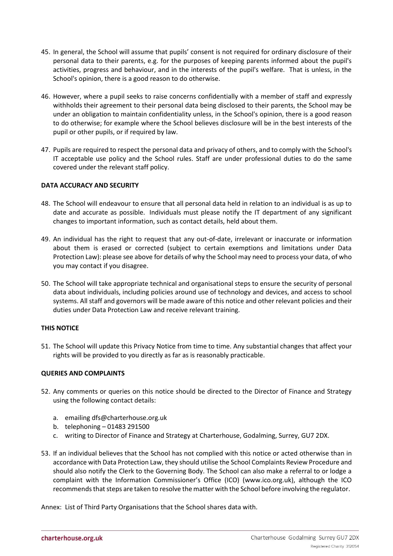- 45. In general, the School will assume that pupils' consent is not required for ordinary disclosure of their personal data to their parents, e.g. for the purposes of keeping parents informed about the pupil's activities, progress and behaviour, and in the interests of the pupil's welfare. That is unless, in the School's opinion, there is a good reason to do otherwise.
- 46. However, where a pupil seeks to raise concerns confidentially with a member of staff and expressly withholds their agreement to their personal data being disclosed to their parents, the School may be under an obligation to maintain confidentiality unless, in the School's opinion, there is a good reason to do otherwise; for example where the School believes disclosure will be in the best interests of the pupil or other pupils, or if required by law.
- 47. Pupils are required to respect the personal data and privacy of others, and to comply with the School's IT acceptable use policy and the School rules. Staff are under professional duties to do the same covered under the relevant staff policy.

#### **DATA ACCURACY AND SECURITY**

- 48. The School will endeavour to ensure that all personal data held in relation to an individual is as up to date and accurate as possible. Individuals must please notify the IT department of any significant changes to important information, such as contact details, held about them.
- 49. An individual has the right to request that any out-of-date, irrelevant or inaccurate or information about them is erased or corrected (subject to certain exemptions and limitations under Data Protection Law): please see above for details of why the School may need to process your data, of who you may contact if you disagree.
- 50. The School will take appropriate technical and organisational steps to ensure the security of personal data about individuals, including policies around use of technology and devices, and access to school systems. All staff and governors will be made aware of this notice and other relevant policies and their duties under Data Protection Law and receive relevant training.

# **THIS NOTICE**

51. The School will update this Privacy Notice from time to time. Any substantial changes that affect your rights will be provided to you directly as far as is reasonably practicable.

#### **QUERIES AND COMPLAINTS**

- 52. Any comments or queries on this notice should be directed to the Director of Finance and Strategy using the following contact details:
	- a. emailing dfs@charterhouse.org.uk
	- b. telephoning 01483 291500
	- c. writing to Director of Finance and Strategy at Charterhouse, Godalming, Surrey, GU7 2DX.
- 53. If an individual believes that the School has not complied with this notice or acted otherwise than in accordance with Data Protection Law, they should utilise the School Complaints Review Procedure and should also notify the Clerk to the Governing Body. The School can also make a referral to or lodge a complaint with the Information Commissioner's Office (ICO) (www.ico.org.uk), although the ICO recommends that steps are taken to resolve the matter with the School before involving the regulator.

Annex: List of Third Party Organisations that the School shares data with.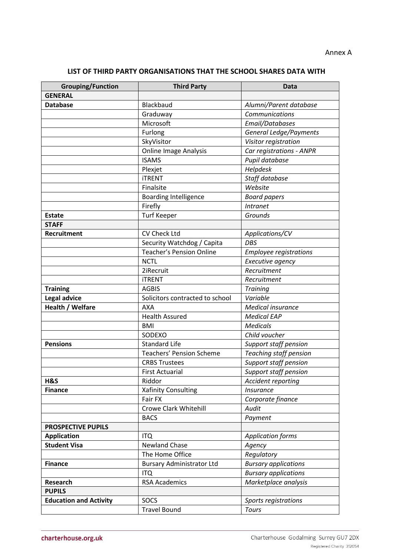**LIST OF THIRD PARTY ORGANISATIONS THAT THE SCHOOL SHARES DATA WITH**

| <b>Grouping/Function</b>      | <b>Third Party</b>               | <b>Data</b>                   |
|-------------------------------|----------------------------------|-------------------------------|
| <b>GENERAL</b>                |                                  |                               |
| <b>Database</b>               | Blackbaud                        | Alumni/Parent database        |
|                               | Graduway                         | Communications                |
|                               | Microsoft                        | Email/Databases               |
|                               | Furlong                          | General Ledge/Payments        |
|                               | SkyVisitor                       | Visitor registration          |
|                               | <b>Online Image Analysis</b>     | Car registrations - ANPR      |
|                               | <b>ISAMS</b>                     | Pupil database                |
|                               | Plexjet                          | Helpdesk                      |
|                               | <b>iTRENT</b>                    | Staff database                |
|                               | Finalsite                        | Website                       |
|                               | <b>Boarding Intelligence</b>     | <b>Board papers</b>           |
|                               | Firefly                          | <b>Intranet</b>               |
| <b>Estate</b>                 | <b>Turf Keeper</b>               | Grounds                       |
| <b>STAFF</b>                  |                                  |                               |
| Recruitment                   | CV Check Ltd                     | Applications/CV               |
|                               | Security Watchdog / Capita       | <b>DBS</b>                    |
|                               | <b>Teacher's Pension Online</b>  | <b>Employee registrations</b> |
|                               | <b>NCTL</b>                      | Executive agency              |
|                               | 2iRecruit                        | Recruitment                   |
|                               | <b>iTRENT</b>                    | Recruitment                   |
| <b>Training</b>               | <b>AGBIS</b>                     | <b>Training</b>               |
| <b>Legal advice</b>           | Solicitors contracted to school  | Variable                      |
| Health / Welfare              | <b>AXA</b>                       | <b>Medical insurance</b>      |
|                               | <b>Health Assured</b>            | <b>Medical EAP</b>            |
|                               | <b>BMI</b>                       | <b>Medicals</b>               |
|                               | SODEXO                           | Child voucher                 |
| <b>Pensions</b>               | <b>Standard Life</b>             | Support staff pension         |
|                               | <b>Teachers' Pension Scheme</b>  | Teaching staff pension        |
|                               | <b>CRBS Trustees</b>             | Support staff pension         |
|                               | <b>First Actuarial</b>           | Support staff pension         |
| H&S                           | Riddor                           | Accident reporting            |
| <b>Finance</b>                | Xafinity Consulting              | <b>Insurance</b>              |
|                               | Fair FX                          | Corporate finance             |
|                               | Crowe Clark Whitehill            | Audit                         |
|                               | <b>BACS</b>                      | Payment                       |
| <b>PROSPECTIVE PUPILS</b>     |                                  |                               |
| <b>Application</b>            | <b>ITQ</b>                       | <b>Application forms</b>      |
| <b>Student Visa</b>           | <b>Newland Chase</b>             | Agency                        |
|                               | The Home Office                  | Regulatory                    |
| <b>Finance</b>                | <b>Bursary Administrator Ltd</b> | <b>Bursary applications</b>   |
|                               | <b>ITQ</b>                       | <b>Bursary applications</b>   |
| Research                      | <b>RSA Academics</b>             | Marketplace analysis          |
| <b>PUPILS</b>                 |                                  |                               |
| <b>Education and Activity</b> | SOCS                             | Sports registrations          |
|                               | <b>Travel Bound</b>              | <b>Tours</b>                  |